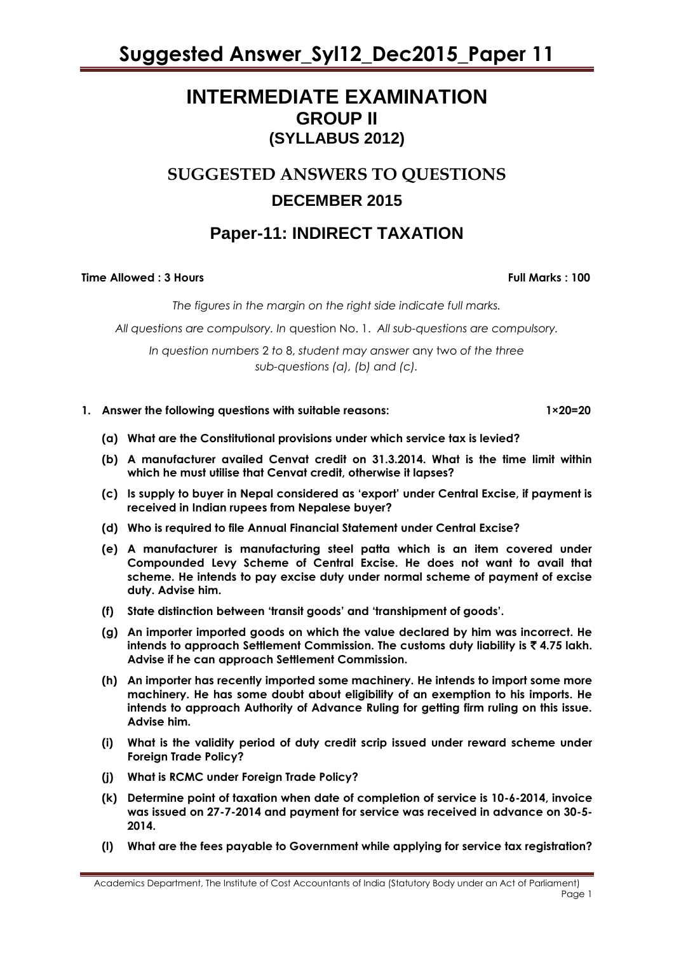### **INTERMEDIATE EXAMINATION GROUP II (SYLLABUS 2012)**

### **SUGGESTED ANSWERS TO QUESTIONS DECEMBER 2015**

### **Paper-11: INDIRECT TAXATION**

#### **Time Allowed : 3 Hours Full Marks Full Marks : 100**

*The figures in the margin on the right side indicate full marks.*

*All questions are compulsory. In* question No. 1. *All sub-questions are compulsory.*

*In question numbers* 2 *to* 8, *student may answer* any two *of the three sub-questions (a), (b) and (c).*

#### **1. Answer the following questions with suitable reasons: 1×20=20**

- **(a) What are the Constitutional provisions under which service tax is levied?**
- **(b) A manufacturer availed Cenvat credit on 31.3.2014. What is the time limit within which he must utilise that Cenvat credit, otherwise it lapses?**
- **(c) Is supply to buyer in Nepal considered as 'export' under Central Excise, if payment is received in Indian rupees from Nepalese buyer?**
- **(d) Who is required to file Annual Financial Statement under Central Excise?**
- **(e) A manufacturer is manufacturing steel patta which is an item covered under Compounded Levy Scheme of Central Excise. He does not want to avail that scheme. He intends to pay excise duty under normal scheme of payment of excise duty. Advise him.**
- **(f) State distinction between 'transit goods' and 'transhipment of goods'.**
- **(g) An importer imported goods on which the value declared by him was incorrect. He intends to approach Settlement Commission. The customs duty liability is** ` **4.75 lakh. Advise if he can approach Settlement Commission.**
- **(h) An importer has recently imported some machinery. He intends to import some more machinery. He has some doubt about eligibility of an exemption to his imports. He intends to approach Authority of Advance Ruling for getting firm ruling on this issue. Advise him.**
- **(i) What is the validity period of duty credit scrip issued under reward scheme under Foreign Trade Policy?**
- **(j) What is RCMC under Foreign Trade Policy?**
- **(k) Determine point of taxation when date of completion of service is 10-6-2014, invoice was issued on 27-7-2014 and payment for service was received in advance on 30-5- 2014.**
- **(l) What are the fees payable to Government while applying for service tax registration?**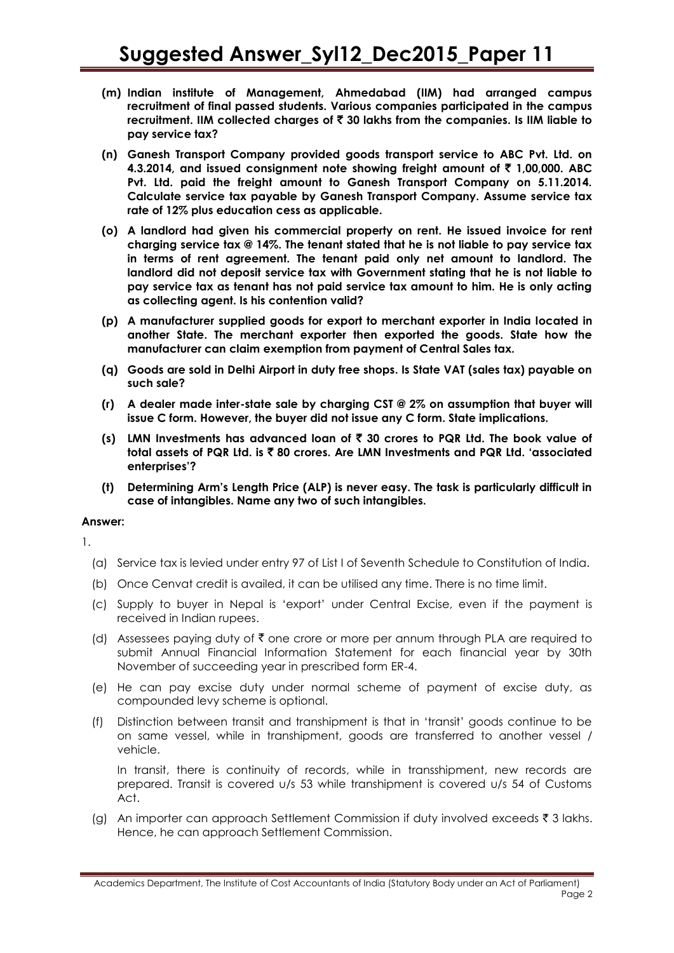- **(m) Indian institute of Management, Ahmedabad (IIM) had arranged campus recruitment of final passed students. Various companies participated in the campus recruitment. IIM collected charges of** ` **30 lakhs from the companies. Is IIM liable to pay service tax?**
- **(n) Ganesh Transport Company provided goods transport service to ABC Pvt. Ltd. on 4.3.2014, and issued consignment note showing freight amount of** ` **1,00,000. ABC Pvt. Ltd. paid the freight amount to Ganesh Transport Company on 5.11.2014. Calculate service tax payable by Ganesh Transport Company. Assume service tax rate of 12% plus education cess as applicable.**
- **(o) A landlord had given his commercial property on rent. He issued invoice for rent charging service tax @ 14%. The tenant stated that he is not liable to pay service tax in terms of rent agreement. The tenant paid only net amount to landlord. The landlord did not deposit service tax with Government stating that he is not liable to pay service tax as tenant has not paid service tax amount to him. He is only acting as collecting agent. Is his contention valid?**
- **(p) A manufacturer supplied goods for export to merchant exporter in India located in another State. The merchant exporter then exported the goods. State how the manufacturer can claim exemption from payment of Central Sales tax.**
- **(q) Goods are sold in Delhi Airport in duty free shops. Is State VAT (sales tax) payable on such sale?**
- **(r) A dealer made inter-state sale by charging CST @ 2% on assumption that buyer will issue C form. However, the buyer did not issue any C form. State implications.**
- **(s) LMN Investments has advanced loan of** ` **30 crores to PQR Ltd. The book value of total assets of PQR Ltd. is** ` **80 crores. Are LMN Investments and PQR Ltd. 'associated enterprises'?**
- **(t) Determining Arm's Length Price (ALP) is never easy. The task is particularly difficult in case of intangibles. Name any two of such intangibles.**

#### **Answer:**

1.

- (a) Service tax is levied under entry 97 of List I of Seventh Schedule to Constitution of India.
- (b) Once Cenvat credit is availed, it can be utilised any time. There is no time limit.
- (c) Supply to buyer in Nepal is 'export' under Central Excise, even if the payment is received in Indian rupees.
- (d) Assessees paying duty of  $\bar{\tau}$  one crore or more per annum through PLA are required to submit Annual Financial Information Statement for each financial year by 30th November of succeeding year in prescribed form ER-4.
- (e) He can pay excise duty under normal scheme of payment of excise duty, as compounded levy scheme is optional.
- (f) Distinction between transit and transhipment is that in 'transit' goods continue to be on same vessel, while in transhipment, goods are transferred to another vessel / vehicle.

In transit, there is continuity of records, while in transshipment, new records are prepared. Transit is covered u/s 53 while transhipment is covered u/s 54 of Customs Act.

(g) An importer can approach Settlement Commission if duty involved exceeds  $\bar{\tau}$  3 lakhs. Hence, he can approach Settlement Commission.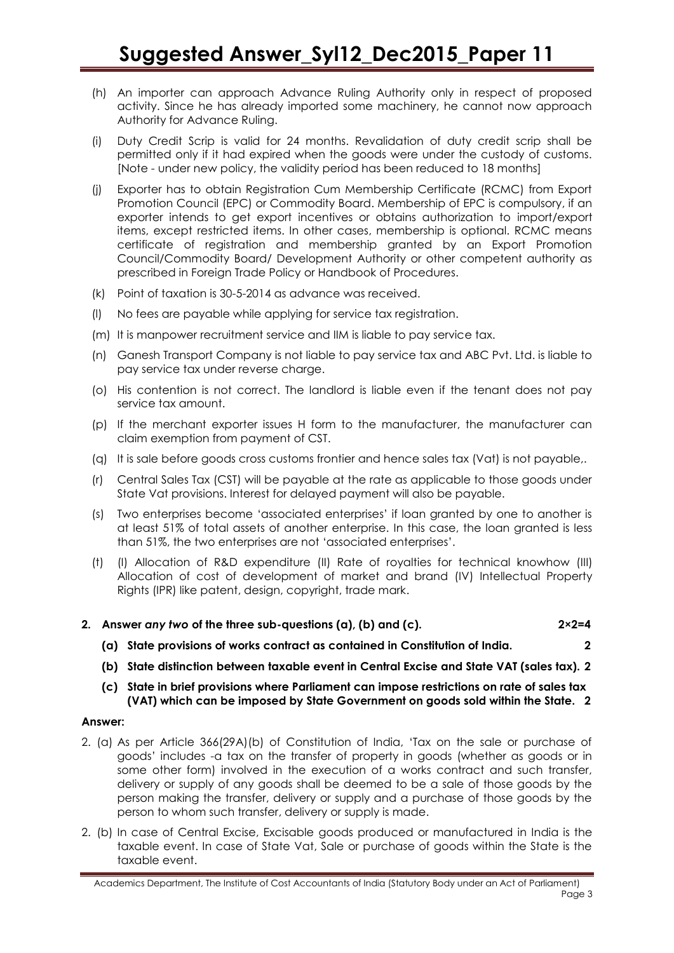- (h) An importer can approach Advance Ruling Authority only in respect of proposed activity. Since he has already imported some machinery, he cannot now approach Authority for Advance Ruling.
- (i) Duty Credit Scrip is valid for 24 months. Revalidation of duty credit scrip shall be permitted only if it had expired when the goods were under the custody of customs. [Note - under new policy, the validity period has been reduced to 18 months]
- (j) Exporter has to obtain Registration Cum Membership Certificate (RCMC) from Export Promotion Council (EPC) or Commodity Board. Membership of EPC is compulsory, if an exporter intends to get export incentives or obtains authorization to import/export items, except restricted items. In other cases, membership is optional. RCMC means certificate of registration and membership granted by an Export Promotion Council/Commodity Board/ Development Authority or other competent authority as prescribed in Foreign Trade Policy or Handbook of Procedures.
- (k) Point of taxation is 30-5-2014 as advance was received.
- (l) No fees are payable while applying for service tax registration.
- (m) It is manpower recruitment service and IIM is liable to pay service tax.
- (n) Ganesh Transport Company is not liable to pay service tax and ABC Pvt. Ltd. is liable to pay service tax under reverse charge.
- (o) His contention is not correct. The landlord is liable even if the tenant does not pay service tax amount.
- (p) If the merchant exporter issues H form to the manufacturer, the manufacturer can claim exemption from payment of CST.
- (q) It is sale before goods cross customs frontier and hence sales tax (Vat) is not payable,.
- (r) Central Sales Tax (CST) will be payable at the rate as applicable to those goods under State Vat provisions. Interest for delayed payment will also be payable.
- (s) Two enterprises become 'associated enterprises' if loan granted by one to another is at least 51% of total assets of another enterprise. In this case, the loan granted is less than 51%, the two enterprises are not 'associated enterprises'.
- (t) (I) Allocation of R&D expenditure (II) Rate of royalties for technical knowhow (III) Allocation of cost of development of market and brand (IV) Intellectual Property Rights (IPR) like patent, design, copyright, trade mark.
- **2. Answer** *any two* **of the three sub-questions (a), (b) and (c). 2×2=4**
	- **(a) State provisions of works contract as contained in Constitution of India. 2**
	- **(b) State distinction between taxable event in Central Excise and State VAT (sales tax). 2**
	- **(c) State in brief provisions where Parliament can impose restrictions on rate of sales tax (VAT) which can be imposed by State Government on goods sold within the State. 2**

#### **Answer:**

- 2. (a) As per Article 366(29A)(b) of Constitution of India, 'Tax on the sale or purchase of goods' includes -a tax on the transfer of property in goods (whether as goods or in some other form) involved in the execution of a works contract and such transfer, delivery or supply of any goods shall be deemed to be a sale of those goods by the person making the transfer, delivery or supply and a purchase of those goods by the person to whom such transfer, delivery or supply is made.
- 2. (b) In case of Central Excise, Excisable goods produced or manufactured in India is the taxable event. In case of State Vat, Sale or purchase of goods within the State is the taxable event.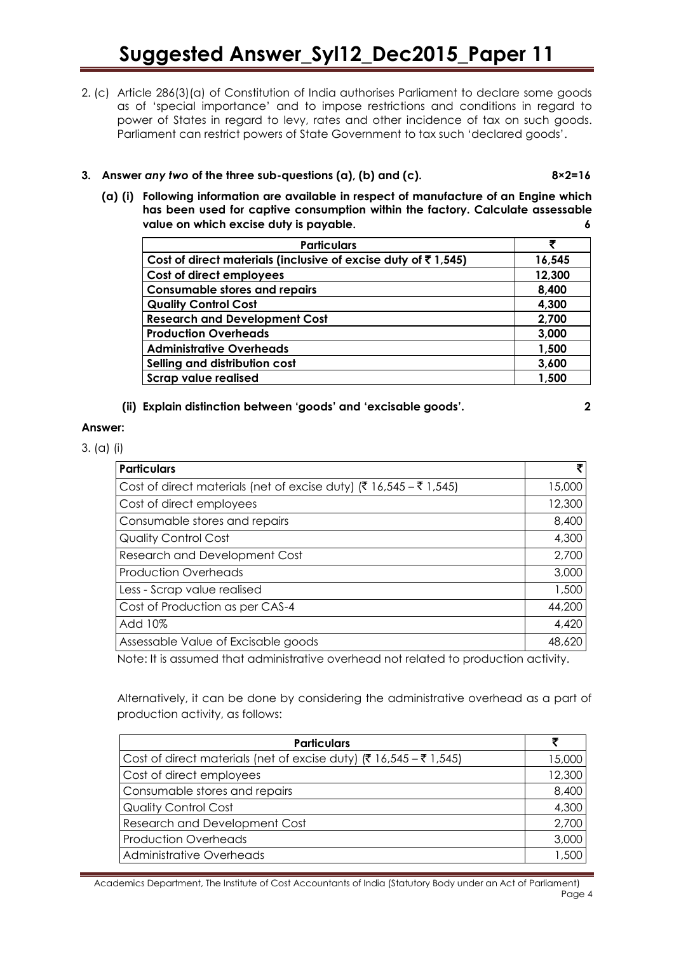2. (c) Article 286(3)(a) of Constitution of India authorises Parliament to declare some goods as of 'special importance' and to impose restrictions and conditions in regard to power of States in regard to levy, rates and other incidence of tax on such goods. Parliament can restrict powers of State Government to tax such 'declared goods'.

### **3. Answer** *any two* **of the three sub-questions (a), (b) and (c). 8×2=16**

**(a) (i) Following information are available in respect of manufacture of an Engine which has been used for captive consumption within the factory. Calculate assessable value on which excise duty is payable. 6**

| <b>Particulars</b>                                                     | ₹      |
|------------------------------------------------------------------------|--------|
| Cost of direct materials (inclusive of excise duty of $\bar{c}$ 1,545) | 16,545 |
| Cost of direct employees                                               | 12,300 |
| <b>Consumable stores and repairs</b>                                   | 8,400  |
| <b>Quality Control Cost</b>                                            | 4,300  |
| <b>Research and Development Cost</b>                                   | 2,700  |
| <b>Production Overheads</b>                                            | 3,000  |
| <b>Administrative Overheads</b>                                        | 1,500  |
| Selling and distribution cost                                          | 3,600  |
| <b>Scrap value realised</b>                                            | 1,500  |

### **(ii) Explain distinction between 'goods' and 'excisable goods'. 2**

#### **Answer:**

3. (a) (i)

| <b>Particulars</b>                                                 |        |
|--------------------------------------------------------------------|--------|
| Cost of direct materials (net of excise duty) (₹ 16,545 – ₹ 1,545) | 15,000 |
| Cost of direct employees                                           | 12,300 |
| Consumable stores and repairs                                      | 8,400  |
| <b>Quality Control Cost</b>                                        | 4,300  |
| <b>Research and Development Cost</b>                               | 2,700  |
| <b>Production Overheads</b>                                        | 3,000  |
| Less - Scrap value realised                                        | 1,500  |
| Cost of Production as per CAS-4                                    | 44,200 |
| Add 10%                                                            | 4,420  |
| Assessable Value of Excisable goods                                | 48,620 |

Note: It is assumed that administrative overhead not related to production activity.

Alternatively, it can be done by considering the administrative overhead as a part of production activity, as follows:

| <b>Particulars</b>                                                 |        |
|--------------------------------------------------------------------|--------|
| Cost of direct materials (net of excise duty) (₹ 16,545 – ₹ 1,545) | 15,000 |
| Cost of direct employees                                           | 12,300 |
| Consumable stores and repairs                                      | 8,400  |
| <b>Quality Control Cost</b>                                        | 4,300  |
| Research and Development Cost                                      | 2,700  |
| <b>Production Overheads</b>                                        | 3,000  |
| <b>Administrative Overheads</b>                                    | 1,500  |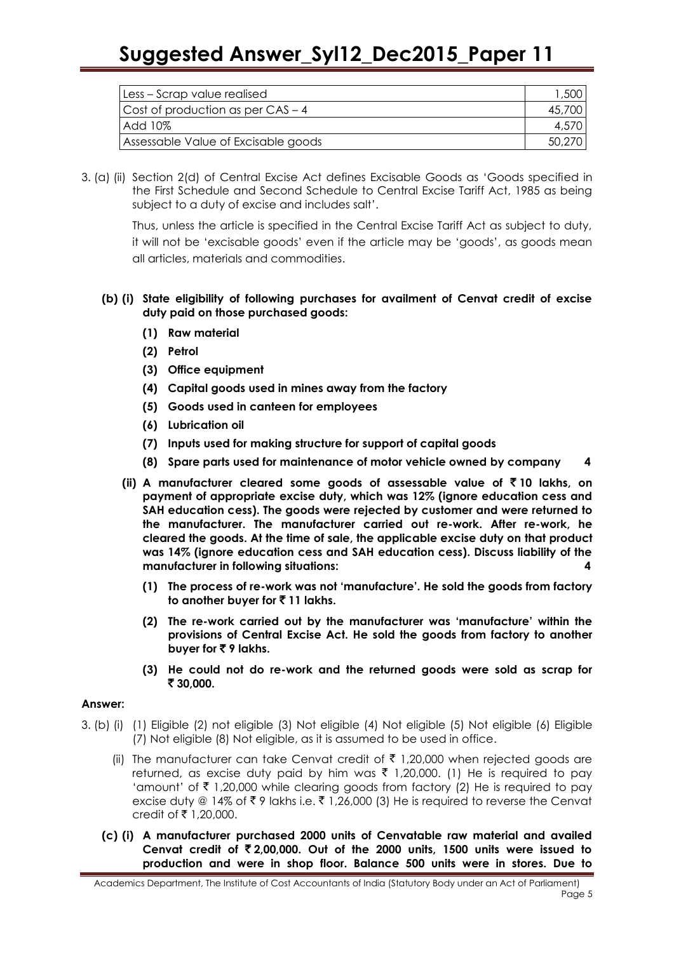| Less - Scrap value realised         | ,500   |
|-------------------------------------|--------|
| Cost of production as per $CAS - 4$ | 45,700 |
| Add 10%                             | 4,570  |
| Assessable Value of Excisable goods | 50,270 |

3. (a) (ii) Section 2(d) of Central Excise Act defines Excisable Goods as 'Goods specified in the First Schedule and Second Schedule to Central Excise Tariff Act, 1985 as being subject to a duty of excise and includes salt'.

> Thus, unless the article is specified in the Central Excise Tariff Act as subject to duty, it will not be 'excisable goods' even if the article may be 'goods', as goods mean all articles, materials and commodities.

#### **(b) (i) State eligibility of following purchases for availment of Cenvat credit of excise duty paid on those purchased goods:**

- **(1) Raw material**
- **(2) Petrol**
- **(3) Office equipment**
- **(4) Capital goods used in mines away from the factory**
- **(5) Goods used in canteen for employees**
- **(6) Lubrication oil**
- **(7) Inputs used for making structure for support of capital goods**
- **(8) Spare parts used for maintenance of motor vehicle owned by company 4**
- **(ii) A manufacturer cleared some goods of assessable value of** ` **10 lakhs, on payment of appropriate excise duty, which was 12% (ignore education cess and SAH education cess). The goods were rejected by customer and were returned to the manufacturer. The manufacturer carried out re-work. After re-work, he cleared the goods. At the time of sale, the applicable excise duty on that product was 14% (ignore education cess and SAH education cess). Discuss liability of the manufacturer in following situations: 4**
	- **(1) The process of re-work was not 'manufacture'. He sold the goods from factory to another buyer for** ` **11 lakhs.**
	- **(2) The re-work carried out by the manufacturer was 'manufacture' within the provisions of Central Excise Act. He sold the goods from factory to another buyer for ₹9 lakhs.**
	- **(3) He could not do re-work and the returned goods were sold as scrap for**  ` **30,000.**

#### **Answer:**

- 3. (b) (i) (1) Eligible (2) not eligible (3) Not eligible (4) Not eligible (5) Not eligible (6) Eligible (7) Not eligible (8) Not eligible, as it is assumed to be used in office.
	- (ii) The manufacturer can take Cenvat credit of  $\bar{\tau}$  1,20,000 when rejected goods are returned, as excise duty paid by him was  $\bar{\tau}$  1,20,000. (1) He is required to pay 'amount' of  $\bar{z}$  1,20,000 while clearing goods from factory (2) He is required to pay excise duty @ 14% of  $\bar{\tau}$  9 lakhs i.e.  $\bar{\tau}$  1,26,000 (3) He is required to reverse the Cenvat credit of ₹ 1,20,000.
	- **(c) (i) A manufacturer purchased 2000 units of Cenvatable raw material and availed Cenvat credit of** ` **2,00,000. Out of the 2000 units, 1500 units were issued to production and were in shop floor. Balance 500 units were in stores. Due to**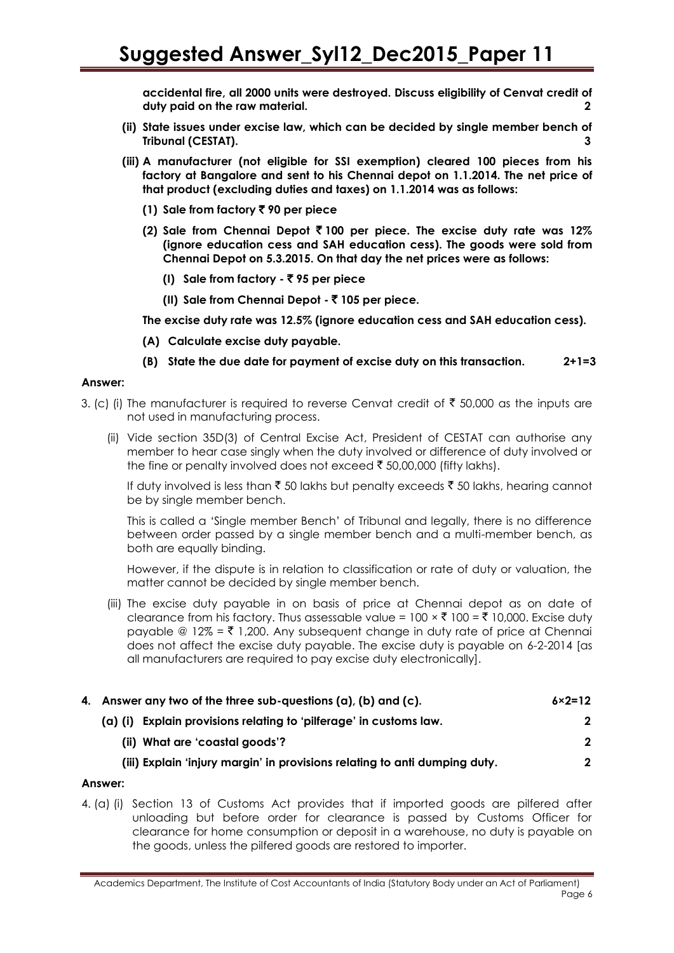**accidental fire, all 2000 units were destroyed. Discuss eligibility of Cenvat credit of duty paid on the raw material. 2**

- **(ii) State issues under excise law, which can be decided by single member bench of Tribunal (CESTAT). 3**
- **(iii) A manufacturer (not eligible for SSI exemption) cleared 100 pieces from his factory at Bangalore and sent to his Chennai depot on 1.1.2014. The net price of that product (excluding duties and taxes) on 1.1.2014 was as follows:**
	- **(1) Sale from factory** ` **90 per piece**
	- **(2) Sale from Chennai Depot** ` **100 per piece. The excise duty rate was 12% (ignore education cess and SAH education cess). The goods were sold from Chennai Depot on 5.3.2015. On that day the net prices were as follows:**
		- **(I) Sale from factory -** ` **95 per piece**
		- **(II) Sale from Chennai Depot -** ` **105 per piece.**

**The excise duty rate was 12.5% (ignore education cess and SAH education cess).**

- **(A) Calculate excise duty payable.**
- **(B) State the due date for payment of excise duty on this transaction. 2+1=3**

#### **Answer:**

- 3. (c) (i) The manufacturer is required to reverse Cenvat credit of  $\bar{\tau}$  50,000 as the inputs are not used in manufacturing process.
	- (ii) Vide section 35D(3) of Central Excise Act, President of CESTAT can authorise any member to hear case singly when the duty involved or difference of duty involved or the fine or penalty involved does not exceed  $\bar{\xi}$  50,00,000 (fifty lakhs).

If duty involved is less than  $\bar{\tau}$  50 lakhs but penalty exceeds  $\bar{\tau}$  50 lakhs, hearing cannot be by single member bench.

This is called a 'Single member Bench' of Tribunal and legally, there is no difference between order passed by a single member bench and a multi-member bench, as both are equally binding.

However, if the dispute is in relation to classification or rate of duty or valuation, the matter cannot be decided by single member bench.

(iii) The excise duty payable in on basis of price at Chennai depot as on date of clearance from his factory. Thus assessable value =  $100 \times \overline{5}$  100 =  $\overline{5}$  10,000. Excise duty payable @ 12% =  $\bar{z}$  1,200. Any subsequent change in duty rate of price at Chennai does not affect the excise duty payable. The excise duty is payable on 6-2-2014 [as all manufacturers are required to pay excise duty electronically].

| 4. Answer any two of the three sub-questions (a), (b) and (c).             | $6 \times 2 = 12$ |
|----------------------------------------------------------------------------|-------------------|
| Explain provisions relating to 'pilferage' in customs law.<br>(a) (i)      | $\mathbf{2}$      |
| (ii) What are 'coastal goods'?                                             | $\mathbf{2}$      |
| (iii) Explain 'injury margin' in provisions relating to anti dumping duty. | $\mathbf{2}$      |

#### **Answer:**

4. (a) (i) Section 13 of Customs Act provides that if imported goods are pilfered after unloading but before order for clearance is passed by Customs Officer for clearance for home consumption or deposit in a warehouse, no duty is payable on the goods, unless the pilfered goods are restored to importer.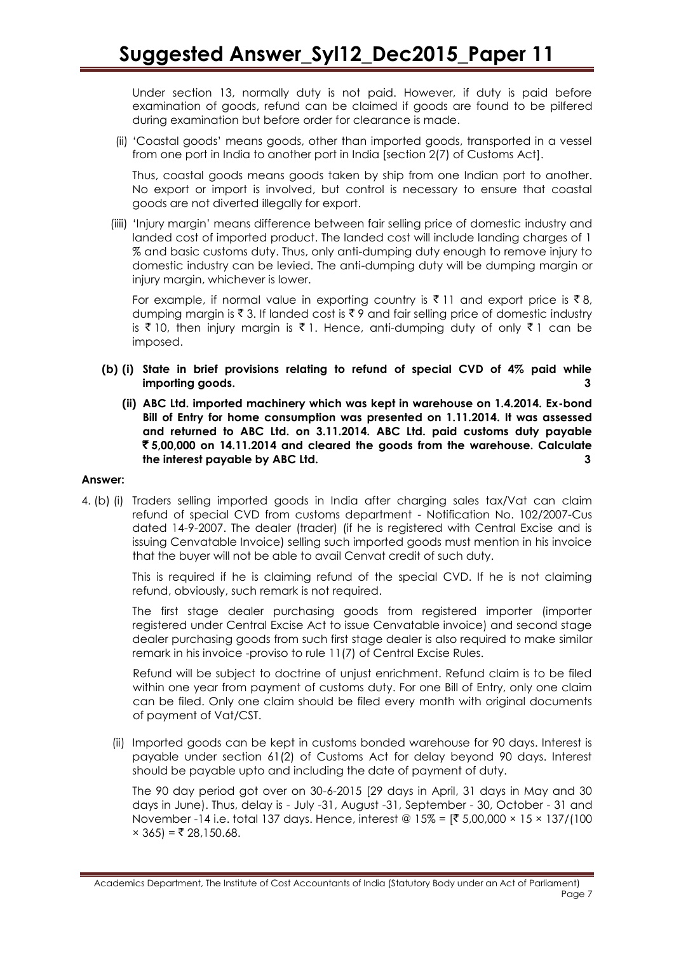Under section 13, normally duty is not paid. However, if duty is paid before examination of goods, refund can be claimed if goods are found to be pilfered during examination but before order for clearance is made.

(ii) 'Coastal goods' means goods, other than imported goods, transported in a vessel from one port in India to another port in India [section 2(7) of Customs Act].

Thus, coastal goods means goods taken by ship from one Indian port to another. No export or import is involved, but control is necessary to ensure that coastal goods are not diverted illegally for export.

(iiii) 'Injury margin' means difference between fair selling price of domestic industry and landed cost of imported product. The landed cost will include landing charges of 1 % and basic customs duty. Thus, only anti-dumping duty enough to remove injury to domestic industry can be levied. The anti-dumping duty will be dumping margin or injury margin, whichever is lower.

For example, if normal value in exporting country is  $\bar{\tau}$  11 and export price is  $\bar{\tau}$  8, dumping margin is  $\bar{z}$  3. If landed cost is  $\bar{z}$  9 and fair selling price of domestic industry is  $\bar{\tau}$  10, then injury margin is  $\bar{\tau}$  1. Hence, anti-dumping duty of only  $\bar{\tau}$  1 can be imposed.

- **(b) (i) State in brief provisions relating to refund of special CVD of 4% paid while importing goods. 3**
	- **(ii) ABC Ltd. imported machinery which was kept in warehouse on 1.4.2014. Ex-bond Bill of Entry for home consumption was presented on 1.11.2014. It was assessed and returned to ABC Ltd. on 3.11.2014. ABC Ltd. paid customs duty payable**  ` **5,00,000 on 14.11.2014 and cleared the goods from the warehouse. Calculate the interest payable by ABC Ltd. 3**

#### **Answer:**

4. (b) (i) Traders selling imported goods in India after charging sales tax/Vat can claim refund of special CVD from customs department - Notification No. 102/2007-Cus dated 14-9-2007. The dealer (trader) (if he is registered with Central Excise and is issuing Cenvatable Invoice) selling such imported goods must mention in his invoice that the buyer will not be able to avail Cenvat credit of such duty.

This is required if he is claiming refund of the special CVD. If he is not claiming refund, obviously, such remark is not required.

The first stage dealer purchasing goods from registered importer (importer registered under Central Excise Act to issue Cenvatable invoice) and second stage dealer purchasing goods from such first stage dealer is also required to make similar remark in his invoice -proviso to rule 11(7) of Central Excise Rules.

Refund will be subject to doctrine of unjust enrichment. Refund claim is to be filed within one year from payment of customs duty. For one Bill of Entry, only one claim can be filed. Only one claim should be filed every month with original documents of payment of Vat/CST.

(ii) Imported goods can be kept in customs bonded warehouse for 90 days. Interest is payable under section 61(2) of Customs Act for delay beyond 90 days. Interest should be payable upto and including the date of payment of duty.

The 90 day period got over on 30-6-2015 [29 days in April, 31 days in May and 30 days in June). Thus, delay is - July -31, August -31, September - 30, October - 31 and November -14 i.e. total 137 days. Hence, interest @ 15% =  $[3,5,00,000 \times 15 \times 137/100]$  $× 365$ ) = ₹ 28,150.68.

Academics Department, The Institute of Cost Accountants of India (Statutory Body under an Act of Parliament) Page 7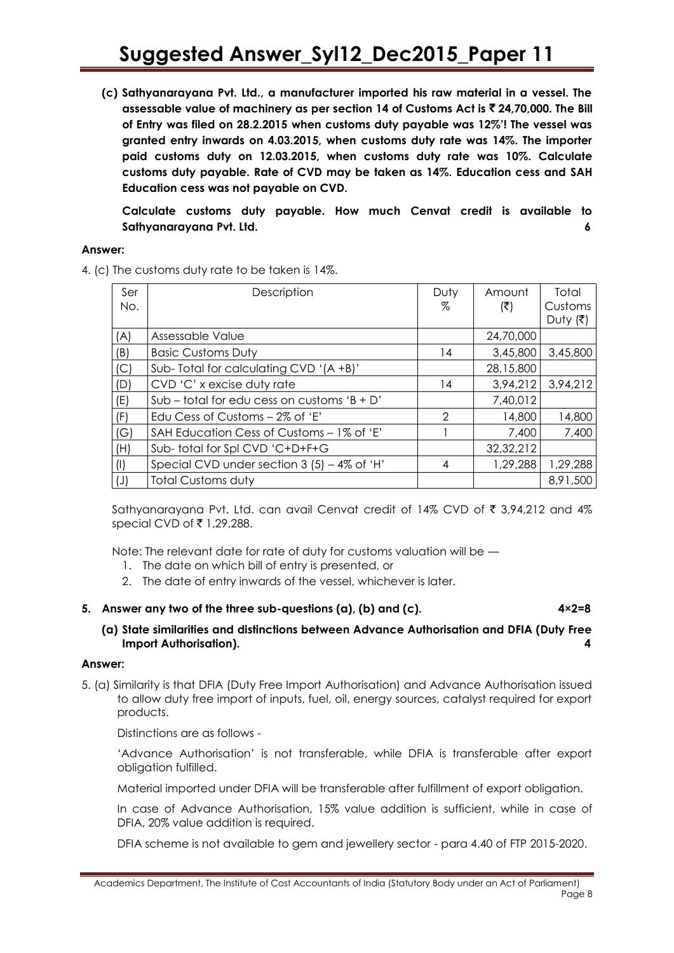**(c) Sathyanarayana Pvt. Ltd., a manufacturer imported his raw material in a vessel. The assessable value of machinery as per section 14 of Customs Act is** ` **24,70,000. The Bill of Entry was filed on 28.2.2015 when customs duty payable was 12%'! The vessel was granted entry inwards on 4.03.2015, when customs duty rate was 14%. The importer paid customs duty on 12.03.2015, when customs duty rate was 10%. Calculate customs duty payable. Rate of CVD may be taken as 14%. Education cess and SAH Education cess was not payable on CVD.**

**Calculate customs duty payable. How much Cenvat credit is available to Sathyanarayana Pvt. Ltd. 6**

#### **Answer:**

4. (c) The customs duty rate to be taken is 14%.

| Ser<br>No.  | Description                                 | Duty<br>z     | Amount<br>(₹) | Total<br>Customs<br>Duty (そ) |
|-------------|---------------------------------------------|---------------|---------------|------------------------------|
| (A)         | Assessable Value                            |               | 24,70,000     |                              |
| (B)         | <b>Basic Customs Duty</b>                   | 14            | 3,45,800      | 3,45,800                     |
| (C)         | Sub-Total for calculating CVD '(A+B)'       |               | 28,15,800     |                              |
| (D)         | CVD 'C' x excise duty rate                  | 14            | 3,94,212      | 3,94,212                     |
| (E)         | Sub – total for edu cess on customs 'B + D' |               | 7,40,012      |                              |
| (F)         | Edu Cess of Customs $-2\%$ of 'E'           | $\mathcal{P}$ | 14,800        | 14,800                       |
| (G)         | SAH Education Cess of Customs - 1% of 'E'   |               | 7,400         | 7,400                        |
| (H)         | Sub-total for Spl CVD 'C+D+F+G              |               | 32,32,212     |                              |
| $\vert$ (l) | Special CVD under section 3 (5) - 4% of 'H' | 4             | 1,29,288      | 1,29,288                     |
| $(\cup)$    | <b>Total Customs duty</b>                   |               |               | 8,91,500                     |

Sathyanarayana Pvt. Ltd. can avail Cenvat credit of 14% CVD of  $\bar{\tau}$  3,94,212 and 4% special CVD of  $\bar{\tau}$  1,29,288.

Note: The relevant date for rate of duty for customs valuation will be —

- 1. The date on which bill of entry is presented, or
- 2. The date of entry inwards of the vessel, whichever is later.

#### **5. Answer any two of the three sub-questions (a), (b) and (c). 4×2=8**

#### **(a) State similarities and distinctions between Advance Authorisation and DFIA (Duty Free Import Authorisation). 4**

#### **Answer:**

5. (a) Similarity is that DFIA (Duty Free Import Authorisation) and Advance Authorisation issued to allow duty free import of inputs, fuel, oil, energy sources, catalyst required for export products.

Distinctions are as follows -

'Advance Authorisation' is not transferable, while DFIA is transferable after export obligation fulfilled.

Material imported under DFIA will be transferable after fulfillment of export obligation.

In case of Advance Authorisation, 15% value addition is sufficient, while in case of DFIA, 20% value addition is required.

DFIA scheme is not available to gem and jewellery sector - para 4.40 of FTP 2015-2020.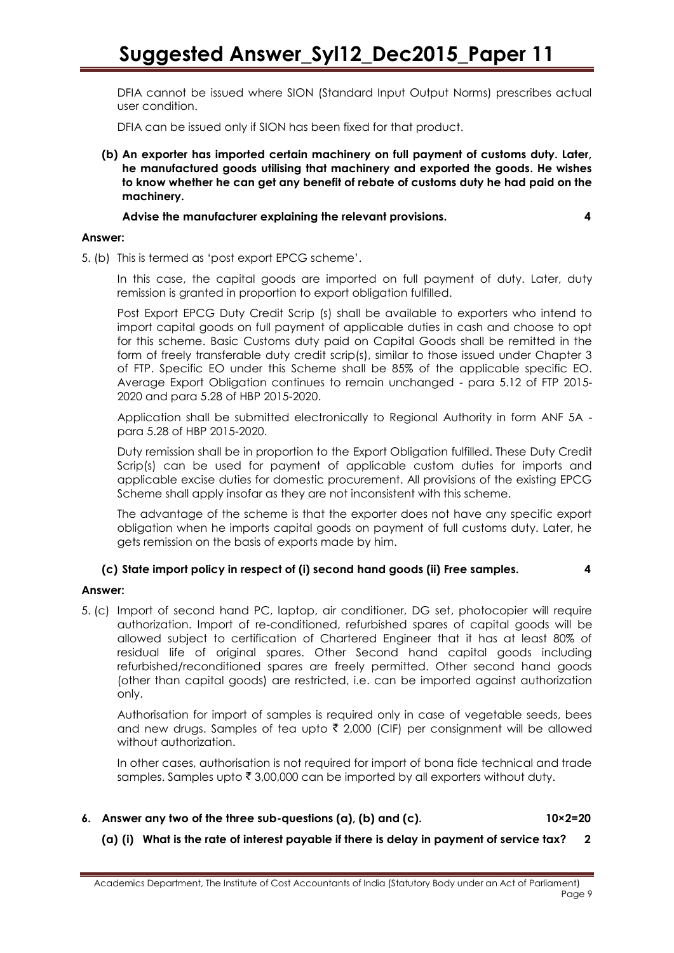DFIA cannot be issued where SION (Standard Input Output Norms) prescribes actual user condition.

DFIA can be issued only if SION has been fixed for that product.

**(b) An exporter has imported certain machinery on full payment of customs duty. Later, he manufactured goods utilising that machinery and exported the goods. He wishes to know whether he can get any benefit of rebate of customs duty he had paid on the machinery.**

**Advise the manufacturer explaining the relevant provisions. 4**

#### **Answer:**

5. (b) This is termed as 'post export EPCG scheme'.

In this case, the capital goods are imported on full payment of duty. Later, duty remission is granted in proportion to export obligation fulfilled.

Post Export EPCG Duty Credit Scrip (s) shall be available to exporters who intend to import capital goods on full payment of applicable duties in cash and choose to opt for this scheme. Basic Customs duty paid on Capital Goods shall be remitted in the form of freely transferable duty credit scrip(s), similar to those issued under Chapter 3 of FTP. Specific EO under this Scheme shall be 85% of the applicable specific EO. Average Export Obligation continues to remain unchanged - para 5.12 of FTP 2015- 2020 and para 5.28 of HBP 2015-2020.

Application shall be submitted electronically to Regional Authority in form ANF 5A para 5.28 of HBP 2015-2020.

Duty remission shall be in proportion to the Export Obligation fulfilled. These Duty Credit Scrip(s) can be used for payment of applicable custom duties for imports and applicable excise duties for domestic procurement. All provisions of the existing EPCG Scheme shall apply insofar as they are not inconsistent with this scheme.

The advantage of the scheme is that the exporter does not have any specific export obligation when he imports capital goods on payment of full customs duty. Later, he gets remission on the basis of exports made by him.

#### **(c) State import policy in respect of (i) second hand goods (ii) Free samples. 4**

#### **Answer:**

5. (c) Import of second hand PC, laptop, air conditioner, DG set, photocopier will require authorization. Import of re-conditioned, refurbished spares of capital goods will be allowed subject to certification of Chartered Engineer that it has at least 80% of residual life of original spares. Other Second hand capital goods including refurbished/reconditioned spares are freely permitted. Other second hand goods (other than capital goods) are restricted, i.e. can be imported against authorization only.

Authorisation for import of samples is required only in case of vegetable seeds, bees and new drugs. Samples of tea upto  $\bar{\tau}$  2,000 (CIF) per consignment will be allowed without authorization.

In other cases, authorisation is not required for import of bona fide technical and trade samples. Samples upto  $\bar{\tau}$  3,00,000 can be imported by all exporters without duty.

**6. Answer any two of the three sub-questions (a), (b) and (c). 10×2=20**

**(a) (i) What is the rate of interest payable if there is delay in payment of service tax? 2**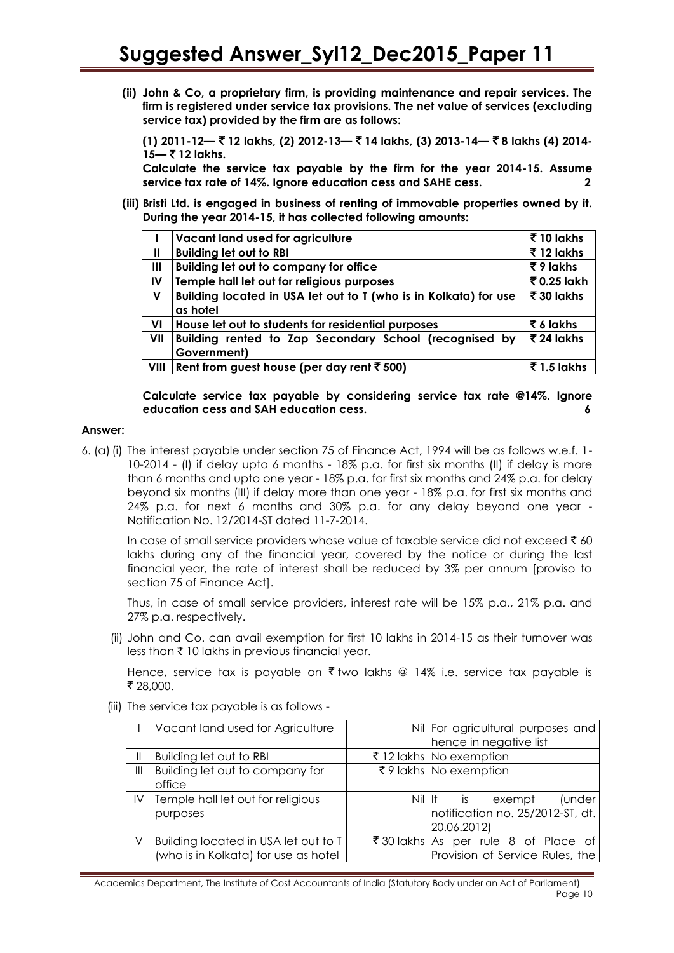**(ii) John & Co, a proprietary firm, is providing maintenance and repair services. The firm is registered under service tax provisions. The net value of services (excluding service tax) provided by the firm are as follows:**

**(1) 2011-12—** ` **12 lakhs, (2) 2012-13—** ` **14 lakhs, (3) 2013-14—** ` **8 lakhs (4) 2014- 15—** ` **12 lakhs.**

**Calculate the service tax payable by the firm for the year 2014-15. Assume service tax rate of 14%. Ignore education cess and SAHE cess. 2**

**(iii) Bristi Ltd. is engaged in business of renting of immovable properties owned by it. During the year 2014-15, it has collected following amounts:**

|      | Vacant land used for agriculture                                 | ₹10 lakhs               |
|------|------------------------------------------------------------------|-------------------------|
| Ш    | <b>Building let out to RBI</b>                                   | ₹12 lakhs               |
| Ш    | <b>Building let out to company for office</b>                    | ₹9 lakhs                |
| IV   | Temple hall let out for religious purposes                       | ₹ 0.25 lakh             |
| V    | Building located in USA let out to T (who is in Kolkata) for use | ₹ 30 lakhs              |
|      | as hotel                                                         |                         |
| VI   | House let out to students for residential purposes               | ₹ 6 lakhs               |
| VII  | Building rented to Zap Secondary School (recognised by           | $\overline{5}$ 24 lakhs |
|      | Government)                                                      |                         |
| VIII | Rent from guest house (per day rent $\overline{\tau}$ 500)       | $\bar{5}$ 1.5 lakhs     |

**Calculate service tax payable by considering service tax rate @14%. Ignore education cess and SAH education cess. 6**

#### **Answer:**

6. (a)(i) The interest payable under section 75 of Finance Act, 1994 will be as follows w.e.f. 1- 10-2014 - (I) if delay upto 6 months - 18% p.a. for first six months (II) if delay is more than 6 months and upto one year - 18% p.a. for first six months and 24% p.a. for delay beyond six months (III) if delay more than one year - 18% p.a. for first six months and 24% p.a. for next 6 months and 30% p.a. for any delay beyond one year - Notification No. 12/2014-ST dated 11-7-2014.

In case of small service providers whose value of taxable service did not exceed  $\bar{\tau}$  60 lakhs during any of the financial year, covered by the notice or during the last financial year, the rate of interest shall be reduced by 3% per annum [proviso to section 75 of Finance Act].

Thus, in case of small service providers, interest rate will be 15% p.a., 21% p.a. and 27% p.a. respectively.

(ii) John and Co. can avail exemption for first 10 lakhs in 2014-15 as their turnover was less than  $\bar{\tau}$  10 lakhs in previous financial year.

Hence, service tax is payable on  $\bar{\tau}$  two lakhs @ 14% i.e. service tax payable is ₹ 28,000.

(iii) The service tax payable is as follows -

| Vacant land used for Agriculture     |         | Nil For agricultural purposes and   |
|--------------------------------------|---------|-------------------------------------|
|                                      |         | hence in negative list              |
| Building let out to RBI              |         | ₹ 12 lakhs No exemption             |
| Building let out to company for      |         | ₹9 lakhs No exemption               |
| office                               |         |                                     |
| Temple hall let out for religious    | Nil IIt | (under<br>exempt<br>is              |
| purposes                             |         | notification no. 25/2012-ST, dt.    |
|                                      |         | 20.06.2012)                         |
| Building located in USA let out to T |         | ₹30 lakhs As per rule 8 of Place of |
| (who is in Kolkata) for use as hotel |         | Provision of Service Rules, the     |
|                                      |         |                                     |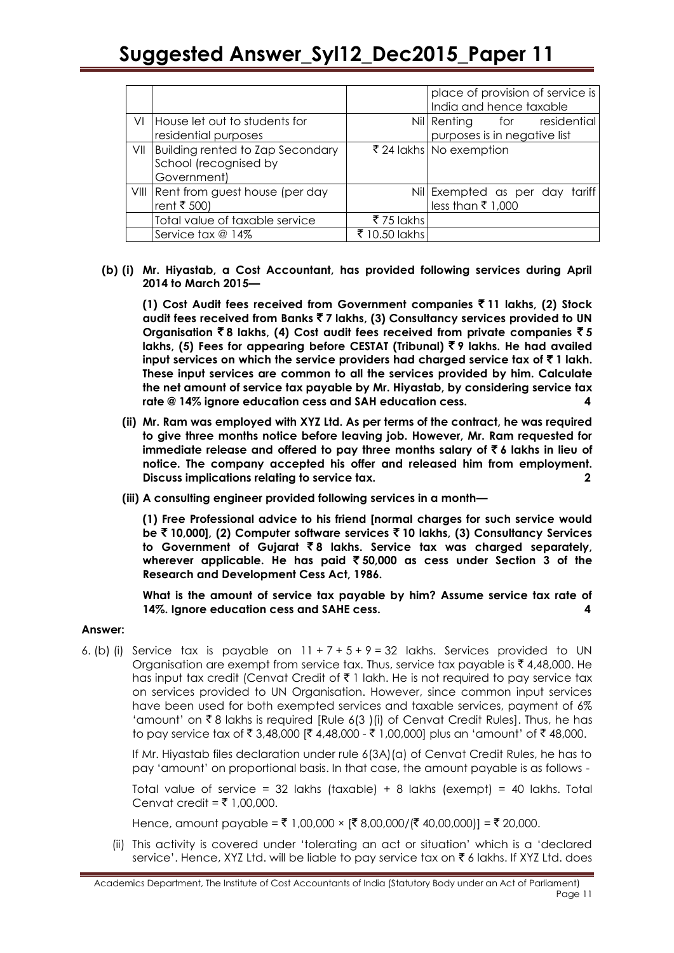|     |                                                                          |               | place of provision of service is<br>India and hence taxable |
|-----|--------------------------------------------------------------------------|---------------|-------------------------------------------------------------|
|     | VI House let out to students for<br>residential purposes                 |               | Nil Renting for residential<br>purposes is in negative list |
| VII | Building rented to Zap Secondary<br>School (recognised by<br>Government) |               | ₹ 24 lakhs No exemption                                     |
|     | VIII Rent from guest house (per day<br>rent ₹ 500)                       |               | Nil Exempted as per day tariff<br>less than ₹1,000          |
|     | Total value of taxable service                                           | ₹75 lakhs     |                                                             |
|     | Service tax @ 14%                                                        | ₹ 10.50 lakhs |                                                             |

#### **(b) (i) Mr. Hiyastab, a Cost Accountant, has provided following services during April 2014 to March 2015—**

**(1) Cost Audit fees received from Government companies** ` **11 lakhs, (2) Stock audit fees received from Banks** ` **7 lakhs, (3) Consultancy services provided to UN**  Organisation  $\bar{z}$  8 lakhs, (4) Cost audit fees received from private companies  $\bar{z}$  5 **lakhs, (5) Fees for appearing before CESTAT (Tribunal)** ` **9 lakhs. He had availed**  input services on which the service providers had charged service tax of  $\bar{z}$  1 lakh. **These input services are common to all the services provided by him. Calculate the net amount of service tax payable by Mr. Hiyastab, by considering service tax rate @ 14% ignore education cess and SAH education cess. 4**

- **(ii) Mr. Ram was employed with XYZ Ltd. As per terms of the contract, he was required to give three months notice before leaving job. However, Mr. Ram requested for immediate release and offered to pay three months salary of**  $\bar{\tau}$  **6 lakhs in lieu of notice. The company accepted his offer and released him from employment. Discuss implications relating to service tax. 2**
- **(iii) A consulting engineer provided following services in a month—**

**(1) Free Professional advice to his friend [normal charges for such service would be** ` **10,000], (2) Computer software services** ` **10 lakhs, (3) Consultancy Services to Government of Gujarat** ` **8 lakhs. Service tax was charged separately, wherever applicable. He has paid** ` **50,000 as cess under Section 3 of the Research and Development Cess Act, 1986.**

**What is the amount of service tax payable by him? Assume service tax rate of 14%. Ignore education cess and SAHE cess. 4**

#### **Answer:**

6. (b) (i) Service tax is payable on  $11 + 7 + 5 + 9 = 32$  lakhs. Services provided to UN Organisation are exempt from service tax. Thus, service tax payable is  $\bar{\tau}$  4,48,000. He has input tax credit (Cenvat Credit of  $\bar{\tau}$  1 lakh. He is not required to pay service tax on services provided to UN Organisation. However, since common input services have been used for both exempted services and taxable services, payment of 6% 'amount' on  $\bar{\tau}$  8 lakhs is required [Rule 6(3 )(i) of Cenvat Credit Rules]. Thus, he has to pay service tax of ₹ 3,48,000 [₹ 4,48,000 - ₹ 1,00,000] plus an 'amount' of ₹ 48,000.

If Mr. Hiyastab files declaration under rule 6(3A)(a) of Cenvat Credit Rules, he has to pay 'amount' on proportional basis. In that case, the amount payable is as follows -

Total value of service = 32 lakhs (taxable) + 8 lakhs (exempt) = 40 lakhs. Total Cenvat credit =  $\overline{z}$  1,00,000.

Hence, amount payable = ₹ 1,00,000 ×  $[ ₹ 8,00,000/[ ₹ 40,00,000]]= ₹ 20,000$ .

(ii) This activity is covered under 'tolerating an act or situation' which is a 'declared service'. Hence, XYZ Ltd. will be liable to pay service tax on  $\bar{\tau}$  6 lakhs. If XYZ Ltd. does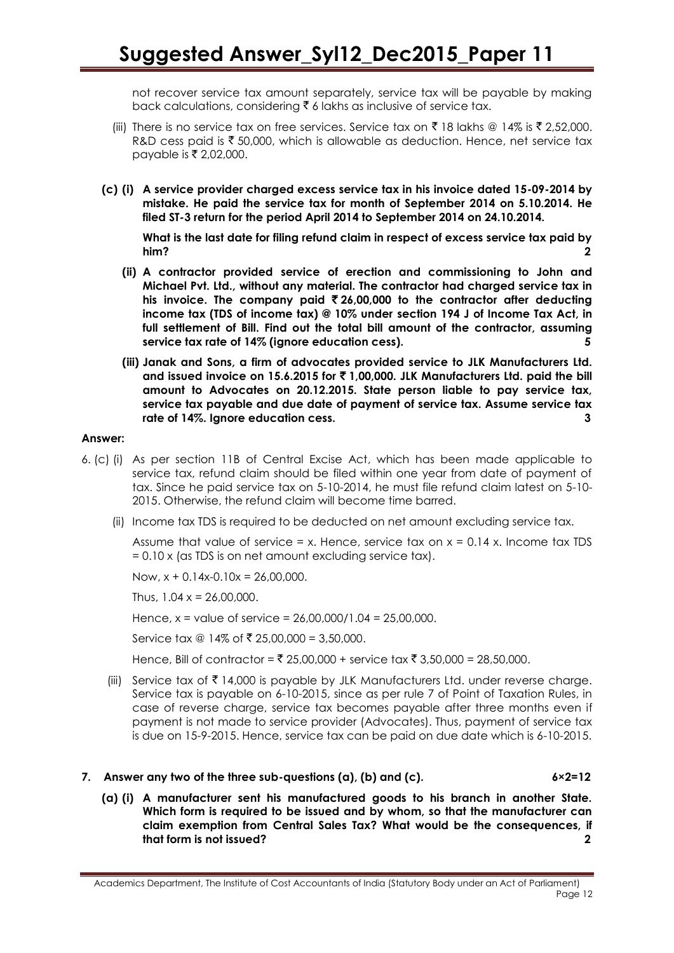not recover service tax amount separately, service tax will be payable by making back calculations, considering  $\bar{\tau}$  6 lakhs as inclusive of service tax.

- (iii) There is no service tax on free services. Service tax on  $\bar{\tau}$  18 lakhs @ 14% is  $\bar{\tau}$  2,52,000. R&D cess paid is  $\bar{z}$  50,000, which is allowable as deduction. Hence, net service tax payable is ₹ 2,02,000.
- **(c) (i) A service provider charged excess service tax in his invoice dated 15-09-2014 by mistake. He paid the service tax for month of September 2014 on 5.10.2014. He filed ST-3 return for the period April 2014 to September 2014 on 24.10.2014.**

**What is the last date for filing refund claim in respect of excess service tax paid by him? 2**

- **(ii) A contractor provided service of erection and commissioning to John and Michael Pvt. Ltd., without any material. The contractor had charged service tax in his invoice. The company paid** ` **26,00,000 to the contractor after deducting income tax (TDS of income tax) @ 10% under section 194 J of Income Tax Act, in full settlement of Bill. Find out the total bill amount of the contractor, assuming service tax rate of 14% (ignore education cess). 5**
- **(iii) Janak and Sons, a firm of advocates provided service to JLK Manufacturers Ltd. and issued invoice on 15.6.2015 for** ` **1,00,000. JLK Manufacturers Ltd. paid the bill amount to Advocates on 20.12.2015. State person liable to pay service tax, service tax payable and due date of payment of service tax. Assume service tax rate of 14%. Ignore education cess. 3**

#### **Answer:**

- 6. (c) (i) As per section 11B of Central Excise Act, which has been made applicable to service tax, refund claim should be filed within one year from date of payment of tax. Since he paid service tax on 5-10-2014, he must file refund claim latest on 5-10- 2015. Otherwise, the refund claim will become time barred.
	- (ii) Income tax TDS is required to be deducted on net amount excluding service tax.

Assume that value of service = x. Hence, service tax on  $x = 0.14$  x. Income tax TDS = 0.10 x (as TDS is on net amount excluding service tax).

Now,  $x + 0.14x - 0.10x = 26,00,000$ .

Thus,  $1.04 \times 26.00.000$ .

Hence, x = value of service = 26,00,000/1.04 = 25,00,000.

Service tax  $@14\%$  of ₹ 25,00,000 = 3,50,000.

Hence, Bill of contractor =  $\bar{\tau}$  25,00,000 + service tax  $\bar{\tau}$  3,50,000 = 28,50,000.

(iii) Service tax of  $\bar{\tau}$  14,000 is payable by JLK Manufacturers Ltd. under reverse charge. Service tax is payable on 6-10-2015, since as per rule 7 of Point of Taxation Rules, in case of reverse charge, service tax becomes payable after three months even if payment is not made to service provider (Advocates). Thus, payment of service tax is due on 15-9-2015. Hence, service tax can be paid on due date which is 6-10-2015.

#### **7. Answer any two of the three sub-questions (a), (b) and (c). 6×2=12**

**(a) (i) A manufacturer sent his manufactured goods to his branch in another State. Which form is required to be issued and by whom, so that the manufacturer can claim exemption from Central Sales Tax? What would be the consequences, if that form is not issued? 2**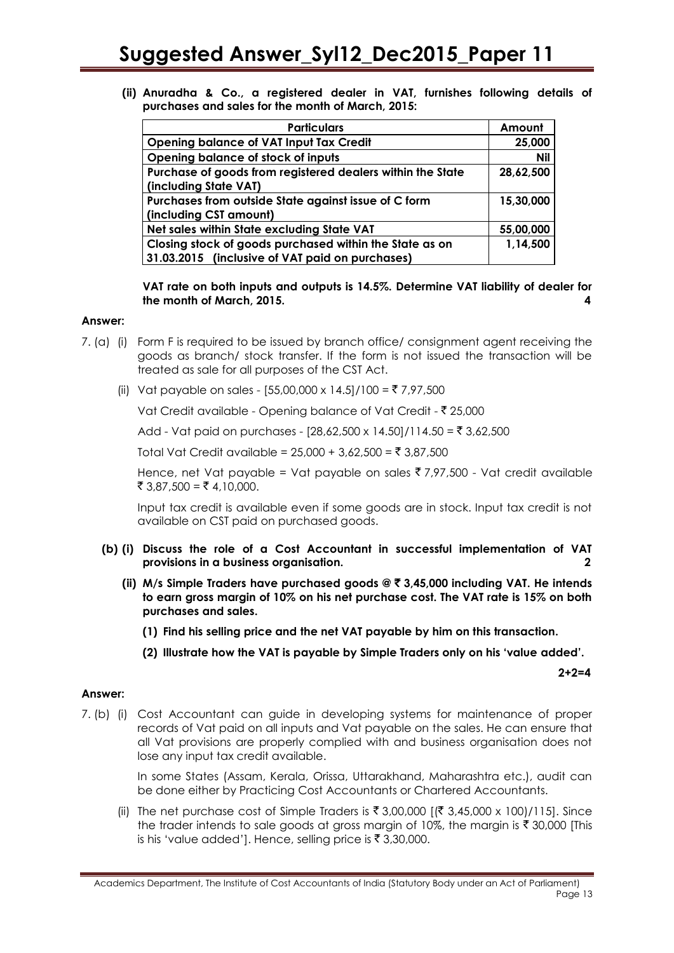**(ii) Anuradha & Co., a registered dealer in VAT, furnishes following details of purchases and sales for the month of March, 2015:**

| <b>Particulars</b>                                         | Amount     |
|------------------------------------------------------------|------------|
| <b>Opening balance of VAT Input Tax Credit</b>             | 25,000     |
| Opening balance of stock of inputs                         | <b>Nil</b> |
| Purchase of goods from registered dealers within the State | 28,62,500  |
| (including State VAT)                                      |            |
| Purchases from outside State against issue of C form       | 15,30,000  |
| (including CST amount)                                     |            |
| Net sales within State excluding State VAT                 | 55,00,000  |
| Closing stock of goods purchased within the State as on    | 1,14,500   |
| 31.03.2015 (inclusive of VAT paid on purchases)            |            |

**VAT rate on both inputs and outputs is 14.5%. Determine VAT liability of dealer for the month of March, 2015. 4**

#### **Answer:**

- 7. (a) (i) Form F is required to be issued by branch office/ consignment agent receiving the goods as branch/ stock transfer. If the form is not issued the transaction will be treated as sale for all purposes of the CST Act.
	- (ii) Vat payable on sales [55,00,000 x 14.5]/100 = ₹ 7,97,500

Vat Credit available - Opening balance of Vat Credit - ₹ 25,000

Add - Vat paid on purchases -  $[28,62,500 \times 14.50]/114.50 = ₹ 3,62,500$ 

Total Vat Credit available =  $25,000 + 3,62,500 = ₹ 3,87,500$ 

Hence, net Vat payable = Vat payable on sales  $\overline{3}$  7,97,500 - Vat credit available ₹ 3,87,500 = ₹ 4,10,000.

Input tax credit is available even if some goods are in stock. Input tax credit is not available on CST paid on purchased goods.

- **(b) (i) Discuss the role of a Cost Accountant in successful implementation of VAT provisions in a business organisation. 2**
	- **(ii) M/s Simple Traders have purchased goods @** ` **3,45,000 including VAT. He intends to earn gross margin of 10% on his net purchase cost. The VAT rate is 15% on both purchases and sales.**
		- **(1) Find his selling price and the net VAT payable by him on this transaction.**
		- **(2) Illustrate how the VAT is payable by Simple Traders only on his 'value added'.**

**2+2=4**

#### **Answer:**

7. (b) (i) Cost Accountant can guide in developing systems for maintenance of proper records of Vat paid on all inputs and Vat payable on the sales. He can ensure that all Vat provisions are properly complied with and business organisation does not lose any input tax credit available.

> In some States (Assam, Kerala, Orissa, Uttarakhand, Maharashtra etc.), audit can be done either by Practicing Cost Accountants or Chartered Accountants.

(ii) The net purchase cost of Simple Traders is  $\bar{\xi}$  3,00,000 [( $\bar{\xi}$  3,45,000 x 100)/115]. Since the trader intends to sale goods at gross margin of 10%, the margin is  $\bar{\tau}$  30,000 [This is his 'value added']. Hence, selling price is  $\bar{z}$  3,30,000.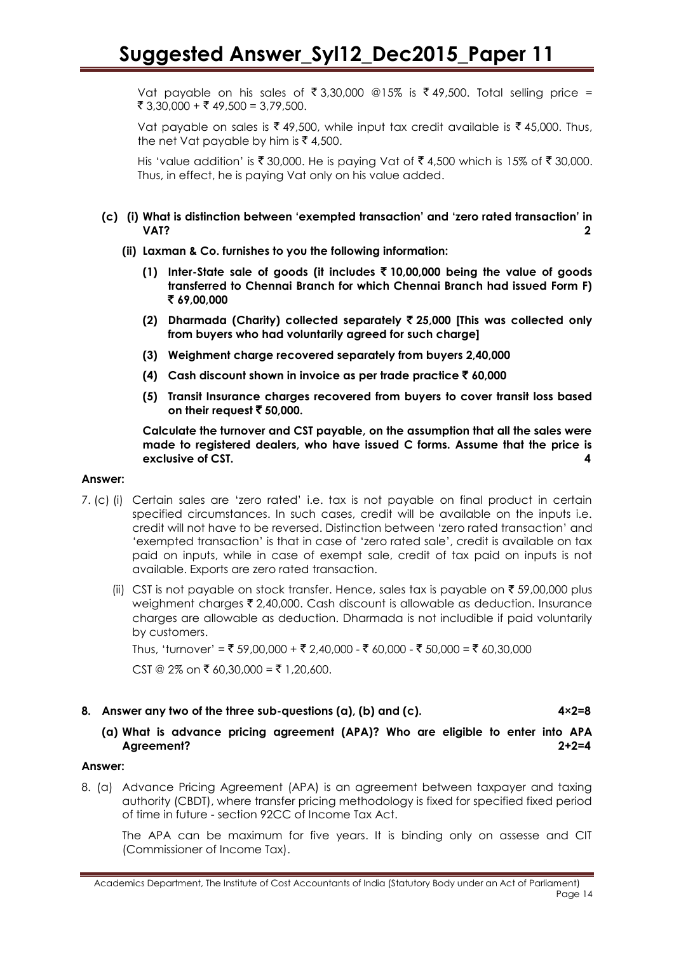Vat payable on his sales of  $\bar{\bar{\xi}}$  3,30,000 @15% is  $\bar{\bar{\xi}}$  49,500. Total selling price = ₹ 3,30,000 + ₹ 49,500 = 3,79,500.

Vat payable on sales is  $\bar{\zeta}$  49,500, while input tax credit available is  $\bar{\zeta}$  45,000. Thus, the net Vat payable by him is  $\bar{z}$  4,500.

His 'value addition' is  $\bar{\tau}$  30,000. He is paying Vat of  $\bar{\tau}$  4,500 which is 15% of  $\bar{\tau}$  30,000. Thus, in effect, he is paying Vat only on his value added.

#### **(c) (i) What is distinction between 'exempted transaction' and 'zero rated transaction' in VAT? 2**

- **(ii) Laxman & Co. furnishes to you the following information:**
	- **(1) Inter-State sale of goods (it includes** ` **10,00,000 being the value of goods transferred to Chennai Branch for which Chennai Branch had issued Form F)**  ` **69,00,000**
	- **(2) Dharmada (Charity) collected separately** ` **25,000 [This was collected only from buyers who had voluntarily agreed for such charge]**
	- **(3) Weighment charge recovered separately from buyers 2,40,000**
	- **(4) Cash discount shown in invoice as per trade practice** ` **60,000**
	- **(5) Transit Insurance charges recovered from buyers to cover transit loss based on their request** ` **50,000.**

**Calculate the turnover and CST payable, on the assumption that all the sales were made to registered dealers, who have issued C forms. Assume that the price is exclusive of CST. 4**

#### **Answer:**

- 7. (c) (i) Certain sales are 'zero rated' i.e. tax is not payable on final product in certain specified circumstances. In such cases, credit will be available on the inputs i.e. credit will not have to be reversed. Distinction between 'zero rated transaction' and 'exempted transaction' is that in case of 'zero rated sale', credit is available on tax paid on inputs, while in case of exempt sale, credit of tax paid on inputs is not available. Exports are zero rated transaction.
	- (ii) CST is not payable on stock transfer. Hence, sales tax is payable on  $\bar{\tau}$  59,00,000 plus weighment charges  $\bar{\xi}$  2,40,000. Cash discount is allowable as deduction. Insurance charges are allowable as deduction. Dharmada is not includible if paid voluntarily by customers.

Thus, 'turnover' = ₹ 59,00,000 + ₹ 2,40,000 - ₹ 60,000 - ₹ 50,000 = ₹ 60.30.000

 $CST @ 2% on ₹ 60,30,000 = ₹ 1,20,600.$ 

#### **8. Answer any two of the three sub-questions (a), (b) and (c). 4×2=8**

#### **(a) What is advance pricing agreement (APA)? Who are eligible to enter into APA Agreement? 2+2=4**

#### **Answer:**

8. (a) Advance Pricing Agreement (APA) is an agreement between taxpayer and taxing authority (CBDT), where transfer pricing methodology is fixed for specified fixed period of time in future - section 92CC of Income Tax Act.

The APA can be maximum for five years. It is binding only on assesse and CIT (Commissioner of Income Tax).